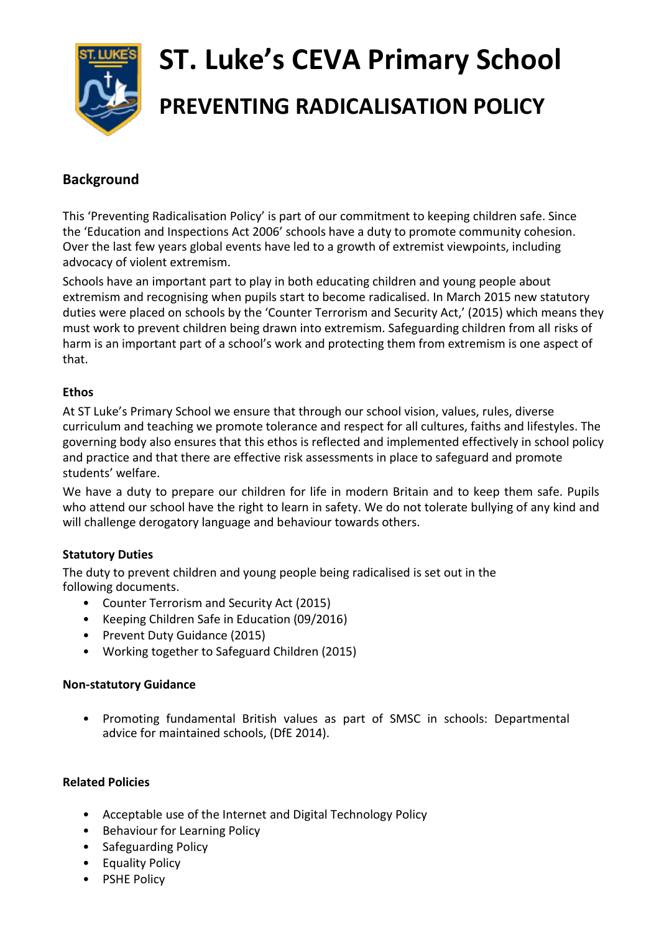

# **ST. Luke's CEVA Primary School PREVENTING RADICALISATION POLICY**

# **Background**

This 'Preventing Radicalisation Policy' is part of our commitment to keeping children safe. Since the 'Education and Inspections Act 2006' schools have a duty to promote community cohesion. Over the last few years global events have led to a growth of extremist viewpoints, including advocacy of violent extremism.

Schools have an important part to play in both educating children and young people about extremism and recognising when pupils start to become radicalised. In March 2015 new statutory duties were placed on schools by the 'Counter Terrorism and Security Act,' (2015) which means they must work to prevent children being drawn into extremism. Safeguarding children from all risks of harm is an important part of a school's work and protecting them from extremism is one aspect of that.

# **Ethos**

At ST Luke's Primary School we ensure that through our school vision, values, rules, diverse curriculum and teaching we promote tolerance and respect for all cultures, faiths and lifestyles. The governing body also ensures that this ethos is reflected and implemented effectively in school policy and practice and that there are effective risk assessments in place to safeguard and promote students' welfare.

We have a duty to prepare our children for life in modern Britain and to keep them safe. Pupils who attend our school have the right to learn in safety. We do not tolerate bullying of any kind and will challenge derogatory language and behaviour towards others.

# **Statutory Duties**

The duty to prevent children and young people being radicalised is set out in the following documents.

- Counter Terrorism and Security Act (2015)
- Keeping Children Safe in Education (09/2016)
- Prevent Duty Guidance (2015)
- Working together to Safeguard Children (2015)

### **Non-statutory Guidance**

• Promoting fundamental British values as part of SMSC in schools: Departmental advice for maintained schools, (DfE 2014).

### **Related Policies**

- Acceptable use of the Internet and Digital Technology Policy
- Behaviour for Learning Policy
- Safeguarding Policy
- Equality Policy
- PSHE Policy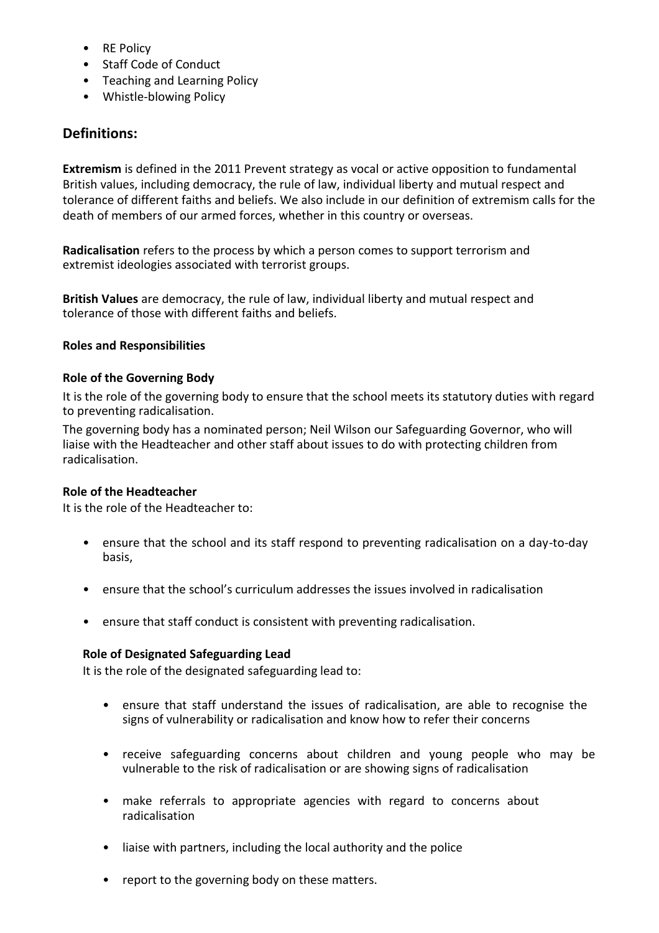- RE Policy
- Staff Code of Conduct
- Teaching and Learning Policy
- Whistle-blowing Policy

# **Definitions:**

**Extremism** is defined in the 2011 Prevent strategy as vocal or active opposition to fundamental British values, including democracy, the rule of law, individual liberty and mutual respect and tolerance of different faiths and beliefs. We also include in our definition of extremism calls for the death of members of our armed forces, whether in this country or overseas.

**Radicalisation** refers to the process by which a person comes to support terrorism and extremist ideologies associated with terrorist groups.

**British Values** are democracy, the rule of law, individual liberty and mutual respect and tolerance of those with different faiths and beliefs.

# **Roles and Responsibilities**

# **Role of the Governing Body**

It is the role of the governing body to ensure that the school meets its statutory duties with regard to preventing radicalisation.

The governing body has a nominated person; Neil Wilson our Safeguarding Governor, who will liaise with the Headteacher and other staff about issues to do with protecting children from radicalisation.

### **Role of the Headteacher**

It is the role of the Headteacher to:

- ensure that the school and its staff respond to preventing radicalisation on a day-to-day basis,
- ensure that the school's curriculum addresses the issues involved in radicalisation
- ensure that staff conduct is consistent with preventing radicalisation.

### **Role of Designated Safeguarding Lead**

It is the role of the designated safeguarding lead to:

- ensure that staff understand the issues of radicalisation, are able to recognise the signs of vulnerability or radicalisation and know how to refer their concerns
- receive safeguarding concerns about children and young people who may be vulnerable to the risk of radicalisation or are showing signs of radicalisation
- make referrals to appropriate agencies with regard to concerns about radicalisation
- liaise with partners, including the local authority and the police
- report to the governing body on these matters.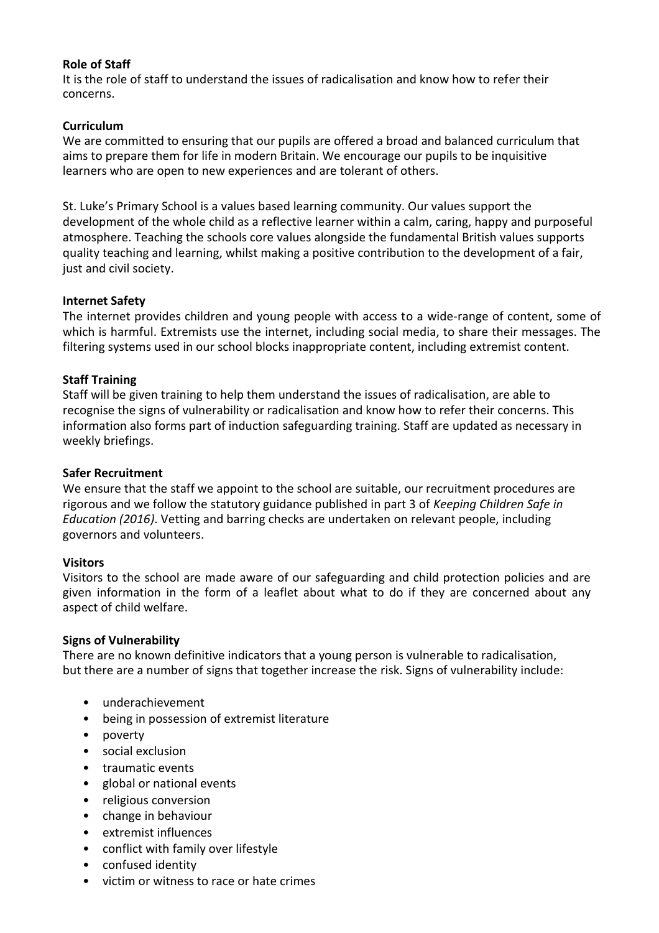# **Role of Staff**

It is the role of staff to understand the issues of radicalisation and know how to refer their concerns.

# **Curriculum**

We are committed to ensuring that our pupils are offered a broad and balanced curriculum that aims to prepare them for life in modern Britain. We encourage our pupils to be inquisitive learners who are open to new experiences and are tolerant of others.

St. Luke's Primary School is a values based learning community. Our values support the development of the whole child as a reflective learner within a calm, caring, happy and purposeful atmosphere. Teaching the schools core values alongside the fundamental British values supports quality teaching and learning, whilst making a positive contribution to the development of a fair, just and civil society.

# **Internet Safety**

The internet provides children and young people with access to a wide-range of content, some of which is harmful. Extremists use the internet, including social media, to share their messages. The filtering systems used in our school blocks inappropriate content, including extremist content.

# **Staff Training**

Staff will be given training to help them understand the issues of radicalisation, are able to recognise the signs of vulnerability or radicalisation and know how to refer their concerns. This information also forms part of induction safeguarding training. Staff are updated as necessary in weekly briefings.

### **Safer Recruitment**

We ensure that the staff we appoint to the school are suitable, our recruitment procedures are rigorous and we follow the statutory guidance published in part 3 of *Keeping Children Safe in Education (2016)*. Vetting and barring checks are undertaken on relevant people, including governors and volunteers.

### **Visitors**

Visitors to the school are made aware of our safeguarding and child protection policies and are given information in the form of a leaflet about what to do if they are concerned about any aspect of child welfare.

### **Signs of Vulnerability**

There are no known definitive indicators that a young person is vulnerable to radicalisation, but there are a number of signs that together increase the risk. Signs of vulnerability include:

- underachievement
- being in possession of extremist literature
- poverty
- social exclusion
- traumatic events
- global or national events
- religious conversion
- change in behaviour
- extremist influences
- conflict with family over lifestyle
- confused identity
- victim or witness to race or hate crimes